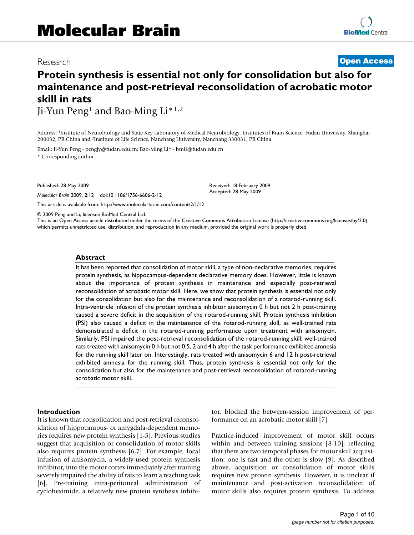# Research **[Open Access](http://www.biomedcentral.com/info/about/charter/)**

# **Protein synthesis is essential not only for consolidation but also for maintenance and post-retrieval reconsolidation of acrobatic motor skill in rats**

Ji-Yun Peng1 and Bao-Ming Li\*1,2

Address: 1Institute of Neurobiology and State Key Laboratory of Medical Neurobiology, Institutes of Brain Science, Fudan University, Shanghai 200032, PR China and 2Institute of Life Science, Nanchang University, Nanchang 330031, PR China

Email: Ji-Yun Peng - pengjy@fudan.edu.cn; Bao-Ming Li\* - bmli@fudan.edu.cn

\* Corresponding author

Published: 28 May 2009

*Molecular Brain* 2009, **2**:12 doi:10.1186/1756-6606-2-12

[This article is available from: http://www.molecularbrain.com/content/2/1/12](http://www.molecularbrain.com/content/2/1/12)

© 2009 Peng and Li; licensee BioMed Central Ltd.

This is an Open Access article distributed under the terms of the Creative Commons Attribution License [\(http://creativecommons.org/licenses/by/2.0\)](http://creativecommons.org/licenses/by/2.0), which permits unrestricted use, distribution, and reproduction in any medium, provided the original work is properly cited.

Received: 18 February 2009 Accepted: 28 May 2009

#### **Abstract**

It has been reported that consolidation of motor skill, a type of non-declarative memories, requires protein synthesis, as hippocampus-dependent declarative memory does. However, little is known about the importance of protein synthesis in maintenance and especially post-retrieval reconsolidation of acrobatic motor skill. Here, we show that protein synthesis is essential not only for the consolidation but also for the maintenance and reconsolidation of a rotarod-running skill. Intra-ventricle infusion of the protein synthesis inhibitor anisomycin 0 h but not 2 h post-training caused a severe deficit in the acquisition of the rotarod-running skill. Protein synthesis inhibition (PSI) also caused a deficit in the maintenance of the rotarod-running skill, as well-trained rats demonstrated a deficit in the rotarod-running performance upon treatment with anisomycin. Similarly, PSI impaired the post-retrieval reconsolidation of the rotarod-running skill: well-trained rats treated with anisomycin 0 h but not 0.5, 2 and 4 h after the task performance exhibited amnesia for the running skill later on. Interestingly, rats treated with anisomycin 6 and 12 h post-retrieval exhibited amnesia for the running skill. Thus, protein synthesis is essential not only for the consolidation but also for the maintenance and post-retrieval reconsolidation of rotarod-running acrobatic motor skill.

#### **Introduction**

It is known that consolidation and post-retrieval reconsolidation of hippocampus- or amygdala-dependent memories requires new protein synthesis [1-5]. Previous studies suggest that acquisition or consolidation of motor skills also requires protein synthesis [6,7]. For example, local infusion of anisomycin, a widely-used protein synthesis inhibitor, into the motor cortex immediately after training severely impaired the ability of rats to learn a reaching task [6]. Pre-training intra-peritoneal administration of cycloheximide, a relatively new protein synthesis inhibitor, blocked the between-session improvement of performance on an acrobatic motor skill [7].

Practice-induced improvement of motor skill occurs within and between training sessions [8-10], reflecting that there are two temporal phases for motor skill acquisition: one is fast and the other is slow [9]. As described above, acquisition or consolidation of motor skills requires new protein synthesis. However, it is unclear if maintenance and post-activation reconsolidation of motor skills also requires protein synthesis. To address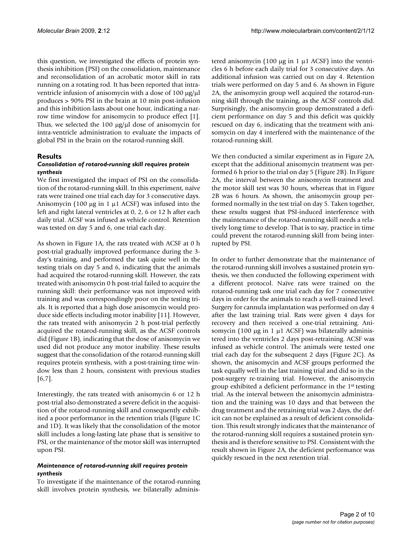this question, we investigated the effects of protein synthesis inhibition (PSI) on the consolidation, maintenance and reconsolidation of an acrobatic motor skill in rats running on a rotating rod. It has been reported that intraventricle infusion of anisomycin with a dose of 100 μg/μl produces > 90% PSI in the brain at 10 min post-infusion and this inhibition lasts about one hour, indicating a narrow time window for anisomycin to produce effect [1]. Thus, we selected the 100 μg/μl dose of anisomycin for intra-ventricle administration to evaluate the impacts of global PSI in the brain on the rotarod-running skill.

# **Results**

### *Consolidation of rotarod-running skill requires protein synthesis*

We first investigated the impact of PSI on the consolidation of the rotarod-running skill. In this experiment, naïve rats were trained one trial each day for 3 consecutive days. Anisomycin (100 μg in 1 μ1 ACSF) was infused into the left and right lateral ventricles at 0, 2, 6 or 12 h after each daily trial. ACSF was infused as vehicle control. Retention was tested on day 5 and 6, one trial each day.

As shown in Figure 1A, the rats treated with ACSF at 0 h post-trial gradually improved performance during the 3 day's training, and performed the task quite well in the testing trials on day 5 and 6, indicating that the animals had acquired the rotarod-running skill. However, the rats treated with anisomycin 0 h post-trial failed to acquire the running skill: their performance was not improved with training and was correspondingly poor on the testing trials. It is reported that a high dose anisomycin would produce side effects including motor inability [11]. However, the rats treated with anisomycin 2 h post-trial perfectly acquired the rotarod-running skill, as the ACSF controls did (Figure 1B), indicating that the dose of anisomycin we used did not produce any motor inability. These results suggest that the consolidation of the rotarod-running skill requires protein synthesis, with a post-training time window less than 2 hours, consistent with previous studies [6,7].

Interestingly, the rats treated with anisomycin 6 or 12 h post-trial also demonstrated a severe deficit in the acquisition of the rotarod-running skill and consequently exhibited a poor performance in the retention trials (Figure 1C and 1D). It was likely that the consolidation of the motor skill includes a long-lasting late phase that is sensitive to PSI, or the maintenance of the motor skill was interrupted upon PSI.

# *Maintenance of rotarod-running skill requires protein synthesis*

To investigate if the maintenance of the rotarod-running skill involves protein synthesis, we bilaterally administered anisomycin (100 μg in 1 μ1 ACSF) into the ventricles 6 h before each daily trial for 3 consecutive days. An additional infusion was carried out on day 4. Retention trials were performed on day 5 and 6. As shown in Figure 2A, the anisomycin group well acquired the rotarod-running skill through the training, as the ACSF controls did. Surprisingly, the anisomycin group demonstrated a deficient performance on day 5 and this deficit was quickly rescued on day 6, indicating that the treatment with anisomycin on day 4 interfered with the maintenance of the rotarod-running skill.

We then conducted a similar experiment as in Figure 2A, except that the additional anisomycin treatment was performed 6 h prior to the trial on day 5 (Figure 2B). In Figure 2A, the interval between the anisomycin treatment and the motor skill test was 30 hours, whereas that in Figure 2B was 6 hours. As shown, the anisomycin group performed normally in the test trial on day 5. Taken together, these results suggest that PSI-induced interference with the maintenance of the rotarod-running skill needs a relatively long time to develop. That is to say, practice in time could prevent the rotarod-running skill from being interrupted by PSI.

In order to further demonstrate that the maintenance of the rotarod-running skill involves a sustained protein synthesis, we then conducted the following experiment with a different protocol. Naïve rats were trained on the rotarod-running task one trial each day for 7 consecutive days in order for the animals to reach a well-trained level. Surgery for cannula implantation was performed on day 4 after the last training trial. Rats were given 4 days for recovery and then received a one-trial retraining. Anisomycin (100 μg in 1 μ1 ACSF) was bilaterally administered into the ventricles 2 days post-retraining. ACSF was infused as vehicle control. The animals were tested one trial each day for the subsequent 2 days (Figure 2C). As shown, the anisomycin and ACSF groups performed the task equally well in the last training trial and did so in the post-surgery re-training trial. However, the anisomycin group exhibited a deficient performance in the 1st testing trial. As the interval between the anisomycin administration and the training was 10 days and that between the drug treatment and the retraining trial was 2 days, the deficit can not be explained as a result of deficient consolidation. This result strongly indicates that the maintenance of the rotarod-running skill requires a sustained protein synthesis and is therefore sensitive to PSI. Consistent with the result shown in Figure 2A, the deficient performance was quickly rescued in the next retention trial.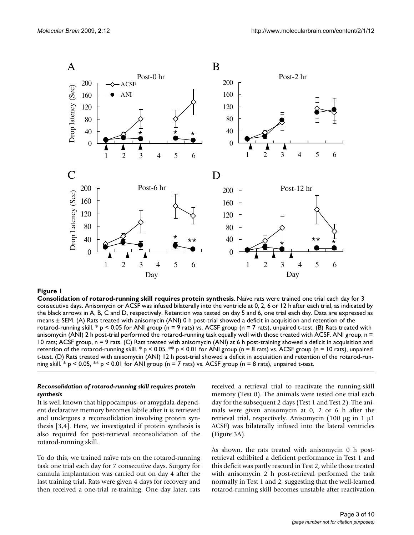

#### **Figure 1**

**Consolidation of rotarod-running skill requires protein synthesis**. Naïve rats were trained one trial each day for 3 consecutive days. Anisomycin or ACSF was infused bilaterally into the ventricle at 0, 2, 6 or 12 h after each trial, as indicated by the black arrows in A, B, C and D, respectively. Retention was tested on day 5 and 6, one trial each day. Data are expressed as means ± SEM. (A) Rats treated with anisomycin (ANI) 0 h post-trial showed a deficit in acquisition and retention of the rotarod-running skill. \*  $p < 0.05$  for ANI group (n = 9 rats) vs. ACSF group (n = 7 rats), unpaired t-test. (B) Rats treated with anisomycin (ANI) 2 h post-trial performed the rotarod-running task equally well with those treated with ACSF. ANI group, n = 10 rats; ACSF group, n = 9 rats. (C) Rats treated with anisomycin (ANI) at 6 h post-training showed a deficit in acquisition and retention of the rotarod-running skill. \*  $p < 0.05$ , \*\*  $p < 0.01$  for ANI group (n = 8 rats) vs. ACSF group (n = 10 rats), unpaired t-test. (D) Rats treated with anisomycin (ANI) 12 h post-trial showed a deficit in acquisition and retention of the rotarod-running skill.  $*$  p < 0.05,  $**$  p < 0.01 for ANI group (n = 7 rats) vs. ACSF group (n = 8 rats), unpaired t-test.

# *Reconsolidation of rotarod-running skill requires protein synthesis*

It is well known that hippocampus- or amygdala-dependent declarative memory becomes labile after it is retrieved and undergoes a reconsolidation involving protein synthesis [3,4]. Here, we investigated if protein synthesis is also required for post-retrieval reconsolidation of the rotarod-running skill.

To do this, we trained naïve rats on the rotarod-running task one trial each day for 7 consecutive days. Surgery for cannula implantation was carried out on day 4 after the last training trial. Rats were given 4 days for recovery and then received a one-trial re-training. One day later, rats received a retrieval trial to reactivate the running-skill memory (Test 0). The animals were tested one trial each day for the subsequent 2 days (Test 1 and Test 2). The animals were given anisomycin at 0, 2 or 6 h after the retrieval trial, respectively. Anisomycin (100 μg in 1 μ1 ACSF) was bilaterally infused into the lateral ventricles (Figure 3A).

As shown, the rats treated with anisomycin 0 h postretrieval exhibited a deficient performance in Test 1 and this deficit was partly rescued in Test 2, while those treated with anisomycin 2 h post-retrieval performed the task normally in Test 1 and 2, suggesting that the well-learned rotarod-running skill becomes unstable after reactivation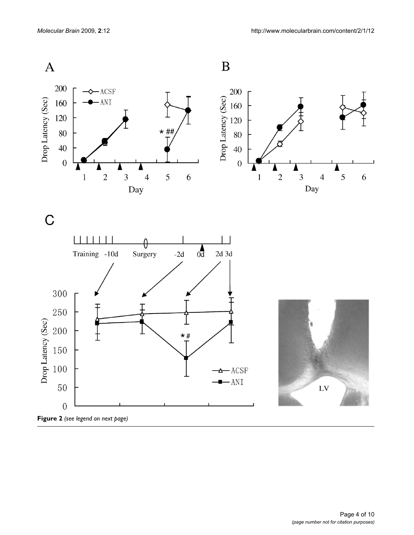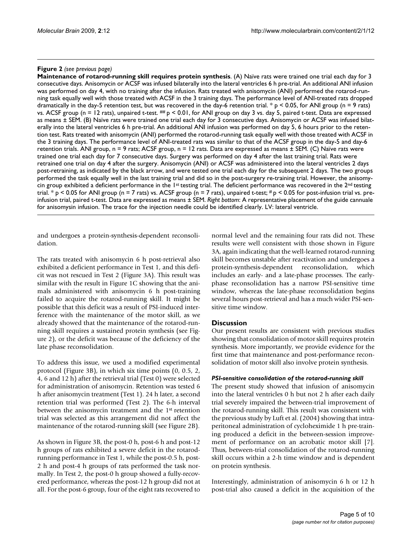#### **Figure 2** (see previous page)

**Maintenance of rotarod-running skill requires protein synthesis**. (A) Naïve rats were trained one trial each day for 3 consecutive days. Anisomycin or ACSF was infused bilaterally into the lateral ventricles 6 h pre-trial. An additional ANI infusion was performed on day 4, with no training after the infusion. Rats treated with anisomycin (ANI) performed the rotarod-running task equally well with those treated with ACSF in the 3 training days. The performance level of ANI-treated rats dropped dramatically in the day-5 retention test, but was recovered in the day-6 retention trial. \*  $p < 0.05$ , for ANI group (n = 9 rats) vs. ACSF group ( $n = 12$  rats), unpaired t-test. ##  $p < 0.01$ , for ANI group on day 3 vs. day 5, paired t-test. Data are expressed as means ± SEM. (B) Naïve rats were trained one trial each day for 3 consecutive days. Anisomycin or ACSF was infused bilaterally into the lateral ventricles 6 h pre-trial. An additional ANI infusion was performed on day 5, 6 hours prior to the retention test. Rats treated with anisomycin (ANI) performed the rotarod-running task equally well with those treated with ACSF in the 3 training days. The performance level of ANI-treated rats was similar to that of the ACSF group in the day-5 and day-6 retention trials. ANI group,  $n = 9$  rats; ACSF group,  $n = 12$  rats. Data are expressed as means  $\pm$  SEM. (C) Naïve rats were trained one trial each day for 7 consecutive days. Surgery was performed on day 4 after the last training trial. Rats were retrained one trial on day 4 after the surgery. Anisomycin (ANI) or ACSF was administered into the lateral ventricles 2 days post-retraining, as indicated by the black arrow, and were tested one trial each day for the subsequent 2 days. The two groups performed the task equally well in the last training trial and did so in the post-surgery re-training trial. However, the anisomycin group exhibited a deficient performance in the 1st testing trial. The deficient performance was recovered in the  $2^{nd}$  testing trial. \* p < 0.05 for ANI group (n = 7 rats) vs. ACSF group (n = 7 rats), unpaired t-test;  $# p$  < 0.05 for post-infusion trial vs. preinfusion trial, paired t-test. Data are expressed as means ± SEM. *Right bottom*: A representative placement of the guide cannuale for anisomysin infusion. The trace for the injection needle could be identified clearly. LV: lateral ventricle.

and undergoes a protein-synthesis-dependent reconsolidation.

The rats treated with anisomycin 6 h post-retrieval also exhibited a deficient performance in Test 1, and this deficit was not rescued in Test 2 (Figure 3A). This result was similar with the result in Figure 1C showing that the animals administered with anisomycin 6 h post-training failed to acquire the rotarod-running skill. It might be possible that this deficit was a result of PSI-induced interference with the maintenance of the motor skill, as we already showed that the maintenance of the rotarod-running skill requires a sustained protein synthesis (see Figure 2), or the deficit was because of the deficiency of the late phase reconsolidation.

To address this issue, we used a modified experimental protocol (Figure 3B), in which six time points (0, 0.5, 2, 4, 6 and 12 h) after the retrieval trial (Test 0) were selected for administration of anisomycin. Retention was tested 6 h after anisomycin treatment (Test 1). 24 h later, a second retention trial was performed (Test 2). The 6-h interval between the anisomycin treatment and the 1st retention trial was selected as this arrangement did not affect the maintenance of the rotarod-running skill (see Figure 2B).

As shown in Figure 3B, the post-0 h, post-6 h and post-12 h groups of rats exhibited a severe deficit in the rotarodrunning performance in Test 1, while the post-0.5 h, post-2 h and post-4 h groups of rats performed the task normally. In Test 2, the post-0 h group showed a fully-recovered performance, whereas the post-12 h group did not at all. For the post-6 group, four of the eight rats recovered to normal level and the remaining four rats did not. These results were well consistent with those shown in Figure 3A, again indicating that the well-learned rotarod-running skill becomes unstable after reactivation and undergoes a protein-synthesis-dependent reconsolidation, which includes an early- and a late-phase processes. The earlyphase reconsolidation has a narrow PSI-sensitive time window, whereas the late-phase reconsolidation begins several hours post-retrieval and has a much wider PSI-sensitive time window.

#### **Discussion**

Our present results are consistent with previous studies showing that consolidation of motor skill requires protein synthesis. More importantly, we provide evidence for the first time that maintenance and post-performance reconsolidation of motor skill also involve protein synthesis.

#### *PSI-sensitive consolidation of the rotarod-running skill*

The present study showed that infusion of anisomycin into the lateral ventricles 0 h but not 2 h after each daily trial severely impaired the between-trial improvement of the rotarod-running skill. This result was consistent with the previous study by Luft et al. (2004) showing that intraperitoneal administration of cycloheximide 1 h pre-training produced a deficit in the between-session improvement of performance on an acrobatic motor skill [7]. Thus, between-trial consolidation of the rotarod-running skill occurs within a 2-h time window and is dependent on protein synthesis.

Interestingly, administration of anisomycin 6 h or 12 h post-trial also caused a deficit in the acquisition of the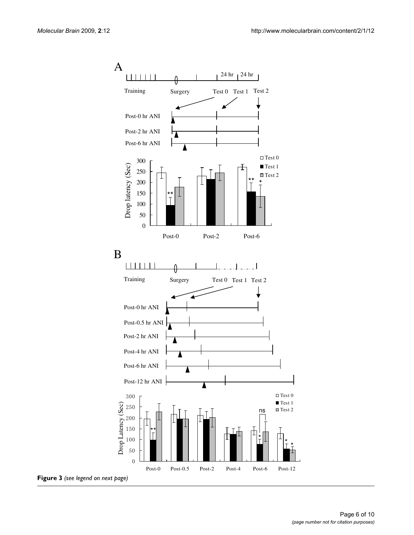

Page 6 of 10 *(page number not for citation purposes)*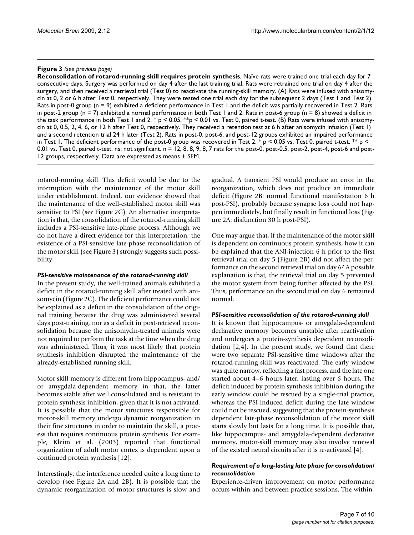#### **Figure 3** (see previous page)

**Reconsolidation of rotarod-running skill requires protein synthesis**. Naïve rats were trained one trial each day for 7 consecutive days. Surgery was performed on day 4 after the last training trial. Rats were retrained one trial on day 4 after the surgery, and then received a retrieval trial (Test 0) to reactivate the running-skill memory. (A) Rats were infused with anisomycin at 0, 2 or 6 h after Test 0, respectively. They were tested one trial each day for the subsequent 2 days (Test 1 and Test 2). Rats in post-0 group (n = 9) exhibited a deficient performance in Test 1 and the deficit was partially recovered in Test 2. Rats in post-2 group ( $n = 7$ ) exhibited a normal performance in both Test 1 and 2. Rats in post-6 group ( $n = 8$ ) showed a deficit in the task performance in both Test 1 and 2. \* p < 0.05, \*\*p < 0.01 vs. Test 0, paired t-test. (B) Rats were infused with anisomycin at 0, 0.5, 2, 4, 6, or 12 h after Test 0, respectively. They received a retention test at 6 h after anisomycin infusion (Test 1) and a second retention trial 24 h later (Test 2). Rats in post-0, post-6, and post-12 groups exhibited an impaired performance in Test 1. The deficient performance of the post-0 group was recovered in Test 2. \* p < 0.05 vs. Test 0, paired t-test. \*\* p < 0.01 vs. Test 0, paired t-test. ns: not significant. n = 12, 8, 8, 9, 8, 7 rats for the post-0, post-0.5, post-2, post-4, post-6 and post-12 groups, respectively. Data are expressed as means ± SEM.

rotarod-running skill. This deficit would be due to the interruption with the maintenance of the motor skill under establishment. Indeed, our evidence showed that the maintenance of the well-established motor skill was sensitive to PSI (see Figure 2C). An alternative interpretation is that, the consolidation of the rotarod-running skill includes a PSI-sensitive late-phase process. Although we do not have a direct evidence for this interpretation, the existence of a PSI-sensitive late-phase reconsolidation of the motor skill (see Figure 3) strongly suggests such possibility.

#### *PSI-sensitive maintenance of the rotarod-running skill*

In the present study, the well-trained animals exhibited a deficit in the rotarod-running skill after treated with anisomycin (Figure 2C). The deficient performance could not be explained as a deficit in the consolidation of the original training because the drug was administered several days post-training, nor as a deficit in post-retrieval reconsolidation because the anisomycin-treated animals were not required to perform the task at the time when the drug was administered. Thus, it was most likely that protein synthesis inhibition disrupted the maintenance of the already-established running skill.

Motor skill memory is different from hippocampus- and/ or amygdala-dependent memory in that, the latter becomes stable after well consolidated and is resistant to protein synthesis inhibition, given that it is not activated. It is possible that the motor structures responsible for motor-skill memory undergo dynamic reorganization in their fine structures in order to maintain the skill, a process that requires continuous protein synthesis. For example, Kleim et al. (2003) reported that functional organization of adult motor cortex is dependent upon a continued protein synthesis [12].

Interestingly, the interference needed quite a long time to develop (see Figure 2A and 2B). It is possible that the dynamic reorganization of motor structures is slow and

gradual. A transient PSI would produce an error in the reorganization, which does not produce an immediate deficit (Figure 2B: normal functional manifestation 6 h post-PSI), probably because synapse loss could not happen immediately, but finally result in functional loss (Figure 2A: disfunction 30 h post-PSI).

One may argue that, if the maintenance of the motor skill is dependent on continuous protein synthesis, how it can be explained that the ANI-injection 6 h prior to the first retrieval trial on day 5 (Figure 2B) did not affect the performance on the second retrieval trial on day 6? A possible explanation is that, the retrieval trial on day 5 prevented the motor system from being further affected by the PSI. Thus, performance on the second trial on day 6 remained normal.

#### *PSI-sensitive reconsolidation of the rotarod-running skill*

It is known that hippocampus- or amygdala-dependent declarative memory becomes unstable after reactivation and undergoes a protein-synthesis dependent reconsolidation  $[2,4]$ . In the present study, we found that there were two separate PSI-sensitive time windows after the rotarod-running skill was reactivated. The early window was quite narrow, reflecting a fast process, and the late one started about 4–6 hours later, lasting over 6 hours. The deficit induced by protein synthesis inhibition during the early window could be rescued by a single-trial practice, whereas the PSI-induced deficit during the late window could not be rescued, suggesting that the protein-synthesis dependent late-phase reconsolidation of the motor skill starts slowly but lasts for a long time. It is possible that, like hippocampus- and amygdala-dependent declarative memory, motor-skill memory may also involve renewal of the existed neural circuits after it is re-activated [4].

### *Requirement of a long-lasting late phase for consolidation/ reconsolidation*

Experience-driven improvement on motor performance occurs within and between practice sessions. The within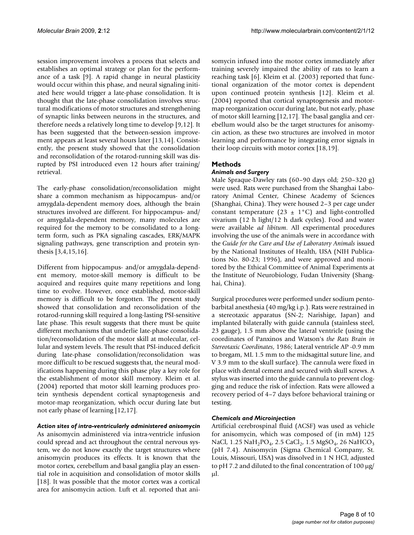session improvement involves a process that selects and establishes an optimal strategy or plan for the performance of a task [9]. A rapid change in neural plasticity would occur within this phase, and neural signaling initiated here would trigger a late-phase consolidation. It is thought that the late-phase consolidation involves structural modifications of motor structures and strengthening of synaptic links between neurons in the structures, and therefore needs a relatively long time to develop [9,12]. It has been suggested that the between-session improvement appears at least several hours later [13,14]. Consistently, the present study showed that the consolidation and reconsolidation of the rotarod-running skill was disrupted by PSI introduced even 12 hours after training/ retrieval.

The early-phase consolidation/reconsolidation might share a common mechanism as hippocampus- and/or amygdala-dependent memory does, although the brain structures involved are different. For hippocampus- and/ or amygdala-dependent memory, many molecules are required for the memory to be consolidated to a longterm form, such as PKA signaling cascades, ERK/MAPK signaling pathways, gene transcription and protein synthesis [3,4,15,16].

Different from hippocampus- and/or amygdala-dependent memory, motor-skill memory is difficult to be acquired and requires quite many repetitions and long time to evolve. However, once established, motor-skill memory is difficult to be forgotten. The present study showed that consolidation and reconsolidation of the rotarod-running skill required a long-lasting PSI-sensitive late phase. This result suggests that there must be quite different mechanisms that underlie late-phase consolidation/reconsolidation of the motor skill at molecular, cellular and system levels. The result that PSI-induced deficit during late-phase consolidation/reconsolidation was more difficult to be rescued suggests that, the neural modifications happening during this phase play a key role for the establishment of motor skill memory. Kleim et al. (2004) reported that motor skill learning produces protein synthesis dependent cortical synaptogenesis and motor-map reorganization, which occur during late but not early phase of learning [12,17].

# *Action sites of intra-ventricularly administered anisomycin*

As anisomycin administered via intra-ventricle infusion could spread and act throughout the central nervous system, we do not know exactly the target structures where anisomycin produces its effects. It is known that the motor cortex, cerebellum and basal ganglia play an essential role in acquisition and consolidation of motor skills [18]. It was possible that the motor cortex was a cortical area for anisomycin action. Luft et al. reported that anisomycin infused into the motor cortex immediately after training severely impaired the ability of rats to learn a reaching task [6]. Kleim et al. (2003) reported that functional organization of the motor cortex is dependent upon continued protein synthesis [12]. Kleim et al. (2004) reported that cortical synaptogenesis and motormap reorganization occur during late, but not early, phase of motor skill learning [12,17]. The basal ganglia and cerebellum would also be the target structures for anisomycin action, as these two structures are involved in motor learning and performance by integrating error signals in their loop circuits with motor cortex [18,19].

# **Methods**

#### *Animals and Surgery*

Male Spraque-Dawley rats (60–90 days old; 250–320 g) were used. Rats were purchased from the Shanghai Laboratory Animal Center, Chinese Academy of Sciences (Shanghai, China). They were housed 2–3 per cage under constant temperature (23  $\pm$  1°C) and light-controlled vivarium (12 h light/12 h dark cycles). Food and water were available *ad libitum*. All experimental procedures involving the use of the animals were in accordance with the *Guide for the Care and Use of Laboratory Animals* issued by the National Institutes of Health, USA (NIH Publications No. 80-23; 1996), and were approved and monitored by the Ethical Committee of Animal Experiments at the Institute of Neurobiology, Fudan University (Shanghai, China).

Surgical procedures were performed under sodium pentobarbital anesthesia (40 mg/kg i.p.). Rats were restrained in a stereotaxic apparatus (SN-2; Narishige, Japan) and implanted bilaterally with guide cannula (stainless steel, 23 gauge), 1.5 mm above the lateral ventricle (using the coordinates of Panxinos and Watson's *the Rats Brain in Stereotaxic Coordinates*, 1986; Lateral ventricle AP -0.9 mm to bregam, ML 1.5 mm to the midsagittal suture line, and V 3.9 mm to the skull surface). The cannula were fixed in place with dental cement and secured with skull screws. A stylus was inserted into the guide cannula to prevent clogging and reduce the risk of infection. Rats were allowed a recovery period of 4–7 days before behavioral training or testing.

#### *Chemicals and Microinjection*

Artificial cerebrospinal fluid (ACSF) was used as vehicle for anisomycin, which was composed of (in mM) 125 NaCl, 1.25 NaH<sub>2</sub>PO<sub>4</sub>, 2.5 CaCl<sub>2</sub>, 1.5 MgSO<sub>4</sub>, 26 NaHCO<sub>3</sub> (pH 7.4). Anisomycin (Sigma Chemical Company, St. Louis, Missouri, USA) was dissolved in 1 N HCl, adjusted to pH 7.2 and diluted to the final concentration of 100 μg/ μl.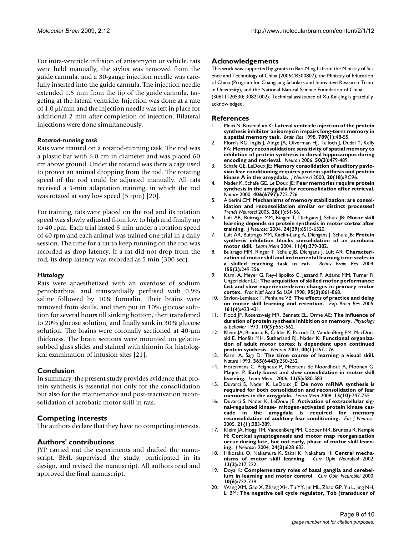For intra-ventricle infusion of anisomycin or vehicle, rats were held manually, the stylus was removed from the guide cannula, and a 30-gauge injection needle was carefully inserted into the guide cannula. The injection needle extended 1.5 mm from the tip of the guide cannula, targeting at the lateral ventricle. Injection was done at a rate of 1.0 μl/min and the injection needle was left in place for additional 2 min after completion of injection. Bilateral injections were done simultaneously.

#### *Rotarod-running task*

Rats were trained on a rotarod-running task. The rod was a plastic bar with 6.0 cm in diameter and was placed 60 cm above ground. Under the rotarod was there a cage used to protect an animal dropping from the rod. The rotating speed of the rod could be adjusted manually. All rats received a 5-min adaptation training, in which the rod was rotated at very low speed (5 rpm) [20].

For training, rats were placed on the rod and its rotation speed was slowly adjusted from low to high and finally up to 40 rpm. Each trial lasted 5 min under a rotation speed of 40 rpm and each animal was trained one trial in a daily session. The time for a rat to keep running on the rod was recorded as drop latency. If a rat did not drop from the rod, its drop latency was recorded as 5 min (300 sec).

#### *Histology*

Rats were anaesthetized with an overdose of sodium pentobarbital and transcardially perfused with 0.9% saline followed by 10% formalin. Their brains were removed from skulls, and then put in 10% glucose solution for several hours till sinking bottom, then transferred to 20% glucose solution, and finally sank in 30% glucose solution. The brains were coronally sectioned at 40-μm thickness. The brain sections were mounted on gelatinsubbed glass slides and stained with thionin for histological examination of infusion sites [21].

#### **Conclusion**

In summary, the present study provides evidence that protein synthesis is essential not only for the consolidation but also for the maintenance and post-reactivation reconsolidation of acrobatic motor skill in rats.

#### **Competing interests**

The authors declare that they have no competing interests.

#### **Authors' contributions**

JYP carried out the experiments and drafted the manuscript. BML supervised the study, participated in its design, and revised the manuscript. All authors read and approved the final manuscript.

#### **Acknowledgements**

This work was supported by grants to Bao-Ming Li from the Ministry of Science and Technology of China (2006CB500807), the Ministry of Education of China (Program for Changjiang Scholars and Innovative Research Team in University), and the National Natural Science Foundation of China (30611120530; 30821002). Technical assistance of Xu Kai-jing is gratefully acknowledged.

#### **References**

- Meiri N, Rosenblum K: [Lateral ventricle injection of the protein](http://www.ncbi.nlm.nih.gov/entrez/query.fcgi?cmd=Retrieve&db=PubMed&dopt=Abstract&list_uids=9602054) **[synthesis inhibitor anisomycin impairs long-term memory in](http://www.ncbi.nlm.nih.gov/entrez/query.fcgi?cmd=Retrieve&db=PubMed&dopt=Abstract&list_uids=9602054) [a spatial memory task.](http://www.ncbi.nlm.nih.gov/entrez/query.fcgi?cmd=Retrieve&db=PubMed&dopt=Abstract&list_uids=9602054)** *Brain Res* 1998, **789(1):**48-55.
- 2. Morris RG, Inglis J, Ainge JA, Olverman HJ, Tulloch J, Dudai Y, Kelly PA: **[Memory reconsolidation: sensitivity of spatial memory to](http://www.ncbi.nlm.nih.gov/entrez/query.fcgi?cmd=Retrieve&db=PubMed&dopt=Abstract&list_uids=16675401) [inhibition of protein synthesis in dorsal hippocampus during](http://www.ncbi.nlm.nih.gov/entrez/query.fcgi?cmd=Retrieve&db=PubMed&dopt=Abstract&list_uids=16675401) [encoding and retrieval.](http://www.ncbi.nlm.nih.gov/entrez/query.fcgi?cmd=Retrieve&db=PubMed&dopt=Abstract&list_uids=16675401)** *Neuron* 2006, **50(3):**479-489.
- 3. Schafe GE, LeDoux JE: **[Memory consolidation of auditory pavlo](http://www.ncbi.nlm.nih.gov/entrez/query.fcgi?cmd=Retrieve&db=PubMed&dopt=Abstract&list_uids=10974093)[vian fear conditioning requires protein synthesis and protein](http://www.ncbi.nlm.nih.gov/entrez/query.fcgi?cmd=Retrieve&db=PubMed&dopt=Abstract&list_uids=10974093) [kinase A in the amygdala.](http://www.ncbi.nlm.nih.gov/entrez/query.fcgi?cmd=Retrieve&db=PubMed&dopt=Abstract&list_uids=10974093)** *J Neurosci* 2000, **20(18):**RC96.
- 4. Nader K, Schafe GE, Le Doux JE: **[Fear memories require protein](http://www.ncbi.nlm.nih.gov/entrez/query.fcgi?cmd=Retrieve&db=PubMed&dopt=Abstract&list_uids=10963596) [synthesis in the amygdala for reconsolidation after retrieval.](http://www.ncbi.nlm.nih.gov/entrez/query.fcgi?cmd=Retrieve&db=PubMed&dopt=Abstract&list_uids=10963596)** *Nature* 2000, **406(6797):**722-726.
- 5. Alberini CM: **[Mechanisms of memory stabilization: are consol](http://www.ncbi.nlm.nih.gov/entrez/query.fcgi?cmd=Retrieve&db=PubMed&dopt=Abstract&list_uids=15626497)[idation and reconsolidation similar or distinct processes?](http://www.ncbi.nlm.nih.gov/entrez/query.fcgi?cmd=Retrieve&db=PubMed&dopt=Abstract&list_uids=15626497)** *Trends Neurosci* 2005, **28(1):**51-56.
- 6. Luft AR, Buitrago MM, Ringer T, Dichgans J, Schulz JB: **[Motor skill](http://www.ncbi.nlm.nih.gov/entrez/query.fcgi?cmd=Retrieve&db=PubMed&dopt=Abstract&list_uids=15269262) [learning depends on protein synthesis in motor cortex after](http://www.ncbi.nlm.nih.gov/entrez/query.fcgi?cmd=Retrieve&db=PubMed&dopt=Abstract&list_uids=15269262) [training.](http://www.ncbi.nlm.nih.gov/entrez/query.fcgi?cmd=Retrieve&db=PubMed&dopt=Abstract&list_uids=15269262)** *J Neurosci* 2004, **24(29):**6515-6520.
- 7. Luft AR, Buitrago MM, Kaelin-Lang A, Dichgans J, Schulz JB: **[Protein](http://www.ncbi.nlm.nih.gov/entrez/query.fcgi?cmd=Retrieve&db=PubMed&dopt=Abstract&list_uids=15286180) [synthesis inhibition blocks consolidation of an acrobatic](http://www.ncbi.nlm.nih.gov/entrez/query.fcgi?cmd=Retrieve&db=PubMed&dopt=Abstract&list_uids=15286180) [motor skill.](http://www.ncbi.nlm.nih.gov/entrez/query.fcgi?cmd=Retrieve&db=PubMed&dopt=Abstract&list_uids=15286180)** *Learn Mem* 2004, **11(4):**379-382.
- 8. Buitrago MM, Ringer T, Schulz JB, Dichgans J, Luft AR: **[Characteri](http://www.ncbi.nlm.nih.gov/entrez/query.fcgi?cmd=Retrieve&db=PubMed&dopt=Abstract&list_uids=15364484)[zation of motor skill and instrumental learning time scales in](http://www.ncbi.nlm.nih.gov/entrez/query.fcgi?cmd=Retrieve&db=PubMed&dopt=Abstract&list_uids=15364484) [a skilled reaching task in rat.](http://www.ncbi.nlm.nih.gov/entrez/query.fcgi?cmd=Retrieve&db=PubMed&dopt=Abstract&list_uids=15364484)** *Behav Brain Res* 2004, **155(2):**249-256.
- 9. Karni A, Meyer G, Rey-Hipolito C, Jezzard P, Adams MM, Turner R, Ungerleider LG: **[The acquisition of skilled motor performance:](http://www.ncbi.nlm.nih.gov/entrez/query.fcgi?cmd=Retrieve&db=PubMed&dopt=Abstract&list_uids=9448252) [fast and slow experience-driven changes in primary motor](http://www.ncbi.nlm.nih.gov/entrez/query.fcgi?cmd=Retrieve&db=PubMed&dopt=Abstract&list_uids=9448252) [cortex.](http://www.ncbi.nlm.nih.gov/entrez/query.fcgi?cmd=Retrieve&db=PubMed&dopt=Abstract&list_uids=9448252)** *Proc Natl Acad Sci USA* 1998, **95(3):**861-868.
- 10. Savion-Lemieux T, Penhune VB: **[The effects of practice and delay](http://www.ncbi.nlm.nih.gov/entrez/query.fcgi?cmd=Retrieve&db=PubMed&dopt=Abstract&list_uids=15551084) [on motor skill learning and retention.](http://www.ncbi.nlm.nih.gov/entrez/query.fcgi?cmd=Retrieve&db=PubMed&dopt=Abstract&list_uids=15551084)** *Exp Brain Res* 2005, **161(4):**423-431.
- 11. Flood JF, Rosenzweig MR, Bennett EL, Orme AE: **[The influence of](http://www.ncbi.nlm.nih.gov/entrez/query.fcgi?cmd=Retrieve&db=PubMed&dopt=Abstract&list_uids=4736141) [duration of protein synthesis inhibition on memory.](http://www.ncbi.nlm.nih.gov/entrez/query.fcgi?cmd=Retrieve&db=PubMed&dopt=Abstract&list_uids=4736141)** *Physiology & behavior* 1973, **10(3):**555-562.
- 12. Kleim JA, Bruneau R, Calder K, Pocock D, VandenBerg PM, MacDonald E, Monfils MH, Sutherland RJ, Nader K: **[Functional organiza](http://www.ncbi.nlm.nih.gov/entrez/query.fcgi?cmd=Retrieve&db=PubMed&dopt=Abstract&list_uids=14527441)[tion of adult motor cortex is dependent upon continued](http://www.ncbi.nlm.nih.gov/entrez/query.fcgi?cmd=Retrieve&db=PubMed&dopt=Abstract&list_uids=14527441) [protein synthesis.](http://www.ncbi.nlm.nih.gov/entrez/query.fcgi?cmd=Retrieve&db=PubMed&dopt=Abstract&list_uids=14527441)** *Neuron* 2003, **40(1):**167-176.
- 13. Karni A, Sagi D: **[The time course of learning a visual skill.](http://www.ncbi.nlm.nih.gov/entrez/query.fcgi?cmd=Retrieve&db=PubMed&dopt=Abstract&list_uids=8371779)** *Nature* 1993, **365(6443):**250-252.
- 14. Hotermans C, Peigneux P, Maertens de Noordhout A, Moonen G, Maquet P: **[Early boost and slow consolidation in motor skill](http://www.ncbi.nlm.nih.gov/entrez/query.fcgi?cmd=Retrieve&db=PubMed&dopt=Abstract&list_uids=16980543) [learning.](http://www.ncbi.nlm.nih.gov/entrez/query.fcgi?cmd=Retrieve&db=PubMed&dopt=Abstract&list_uids=16980543)** *Learn Mem.* 2006, **13(5):**580-583.
- 15. Duvarci S, Nader K, LeDoux JE: **[De novo mRNA synthesis is](http://www.ncbi.nlm.nih.gov/entrez/query.fcgi?cmd=Retrieve&db=PubMed&dopt=Abstract&list_uids=18832561) [required for both consolidation and reconsolidation of fear](http://www.ncbi.nlm.nih.gov/entrez/query.fcgi?cmd=Retrieve&db=PubMed&dopt=Abstract&list_uids=18832561) [memories in the amygdala.](http://www.ncbi.nlm.nih.gov/entrez/query.fcgi?cmd=Retrieve&db=PubMed&dopt=Abstract&list_uids=18832561)** *Learn Mem* 2008, **15(10):**747-755.
- 16. Duvarci S, Nader K, LeDoux JE: **[Activation of extracellular sig](http://www.ncbi.nlm.nih.gov/entrez/query.fcgi?cmd=Retrieve&db=PubMed&dopt=Abstract&list_uids=15654867)[nal-regulated kinase- mitogen-activated protein kinase cas](http://www.ncbi.nlm.nih.gov/entrez/query.fcgi?cmd=Retrieve&db=PubMed&dopt=Abstract&list_uids=15654867)cade in the amygdala is required for memory [reconsolidation of auditory fear conditioning.](http://www.ncbi.nlm.nih.gov/entrez/query.fcgi?cmd=Retrieve&db=PubMed&dopt=Abstract&list_uids=15654867)** *Eur J Neurosci* 2005, **21(1):**283-289.
- 17. Kleim JA, Hogg TM, VandenBerg PM, Cooper NR, Bruneau R, Remple M: **[Cortical synaptogenesis and motor map reorganization](http://www.ncbi.nlm.nih.gov/entrez/query.fcgi?cmd=Retrieve&db=PubMed&dopt=Abstract&list_uids=14736848) [occur during late, but not early, phase of motor skill learn](http://www.ncbi.nlm.nih.gov/entrez/query.fcgi?cmd=Retrieve&db=PubMed&dopt=Abstract&list_uids=14736848)[ing.](http://www.ncbi.nlm.nih.gov/entrez/query.fcgi?cmd=Retrieve&db=PubMed&dopt=Abstract&list_uids=14736848)** *J Neurosci* 2004, **24(3):**628-633.
- 18. Hikosaka O, Nakamura K, Sakai K, Nakahara H: **[Central mecha](http://www.ncbi.nlm.nih.gov/entrez/query.fcgi?cmd=Retrieve&db=PubMed&dopt=Abstract&list_uids=12015240)** $n$ isms of motor skill learning. **12(2):**217-222.
- 19. Doya K: **[Complementary roles of basal ganglia and cerebel](http://www.ncbi.nlm.nih.gov/entrez/query.fcgi?cmd=Retrieve&db=PubMed&dopt=Abstract&list_uids=11240282)[lum in learning and motor control.](http://www.ncbi.nlm.nih.gov/entrez/query.fcgi?cmd=Retrieve&db=PubMed&dopt=Abstract&list_uids=11240282)** *Curr Opin Neurobiol* 2000, **10(6):**732-739.
- 20. Wang XM, Gao X, Zhang XH, Tu YY, Jin ML, Zhao GP, Yu L, Jing NH, Li BM: **[The negative cell cycle regulator, Tob \(transducer of](http://www.ncbi.nlm.nih.gov/entrez/query.fcgi?cmd=Retrieve&db=PubMed&dopt=Abstract&list_uids=16414345)**